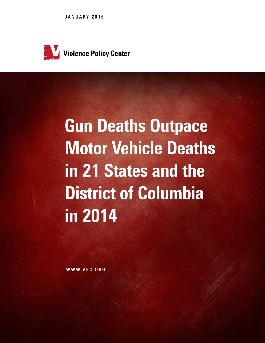JANUARY 2016



# Gun Deaths Outpace Motor Vehicle Deaths in 21 States and the District of Columbia in 2014

WWW.VPC.ORG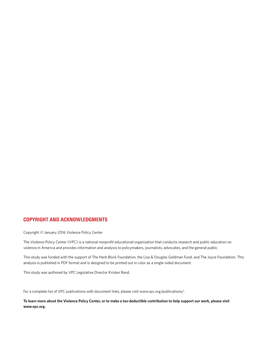## COPYRIGHT AND ACKNOWLEDGMENTS

Copyright © January 2016 Violence Policy Center

The Violence Policy Center (VPC) is a national nonprofit educational organization that conducts research and public education on violence in America and provides information and analysis to policymakers, journalists, advocates, and the general public.

This study was funded with the support of The Herb Block Foundation, the Lisa & Douglas Goldman Fund, and The Joyce Foundation. This analysis is published in PDF format and is designed to be printed out in color as a single-sided document.

This study was authored by VPC Legislative Director Kristen Rand.

For a complete list of VPC publications with document links, please visit www.vpc.org/publications/.

**To learn more about the Violence Policy Center, or to make a tax-deductible contribution to help support our work, please visit www.vpc.org.**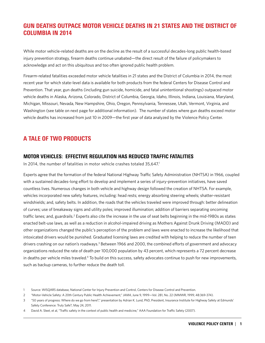# GUN DEATHS OUTPACE MOTOR VEHICLE DEATHS IN 21 STATES AND THE DISTRICT OF COLUMBIA IN 2014

While motor vehicle-related deaths are on the decline as the result of a successful decades-long public health-based injury prevention strategy, firearm deaths continue unabated—the direct result of the failure of policymakers to acknowledge and act on this ubiquitous and too often ignored public health problem.

Firearm-related fatalities exceeded motor vehicle fatalities in 21 states and the District of Columbia in 2014, the most recent year for which state-level data is available for both products from the federal Centers for Disease Control and Prevention. That year, gun deaths (including gun suicide, homicide, and fatal unintentional shootings) outpaced motor vehicle deaths in Alaska, Arizona, Colorado, District of Columbia, Georgia, Idaho, Illinois, Indiana, Louisiana, Maryland, Michigan, Missouri, Nevada, New Hampshire, Ohio, Oregon, Pennsylvania, Tennessee, Utah, Vermont, Virginia, and Washington (see table on next page for additional information). The number of states where gun deaths exceed motor vehicle deaths has increased from just 10 in 2009—the first year of data analyzed by the Violence Policy Center.

# A TALE OF TWO PRODUCTS

## MOTOR VEHICLES: EFFECTIVE REGULATION HAS REDUCED TRAFFIC FATALITIES

In 2014, the number of fatalities in motor vehicle crashes totaled 35,647.<sup>1</sup>

Experts agree that the formation of the federal National Highway Traffic Safety Administration (NHTSA) in 1966, coupled with a sustained decades-long effort to develop and implement a series of injury-prevention initiatives, have saved countless lives. Numerous changes in both vehicle and highway design followed the creation of NHTSA. For example, vehicles incorporated new safety features, including: head rests; energy absorbing steering wheels; shatter-resistant windshields; and, safety belts. In addition, the roads that the vehicles traveled were improved through: better delineation of curves; use of breakaway signs and utility poles; improved illumination; addition of barriers separating oncoming traffic lanes; and, guardrails.<sup>2</sup> Experts also cite the increase in the use of seat belts beginning in the mid-1980s as states enacted belt-use laws, as well as a reduction in alcohol-impaired driving as Mothers Against Drunk Driving (MADD) and other organizations changed the public's perception of the problem and laws were enacted to increase the likelihood that intoxicated drivers would be punished. Graduated licensing laws are credited with helping to reduce the number of teen drivers crashing on our nation's roadways.<sup>3</sup> Between 1966 and 2000, the combined efforts of government and advocacy organizations reduced the rate of death per 100,000 population by 43 percent, which represents a 72 percent decrease in deaths per vehicle miles traveled.<sup>4</sup> To build on this success, safety advocates continue to push for new improvements, such as backup cameras, to further reduce the death toll.

<sup>1</sup> Source: WISQARS database, National Center for Injury Prevention and Control, Centers for Disease Control and Prevention.

<sup>2</sup> "Motor-Vehicle Safety: A 20th Century Public Health Achievement," *JAMA*, June 9, 1999—Vol. 281, No. 22 (MMWR, 1999; 48:369-374).

<sup>3</sup> "50 years of progress: Where do we go from here?," presentation by Adrian K. Lund, PhD, President, Insurance Institute for Highway Safety at Edmunds' Safety Conference: Truly Safe?, May 24, 2011.

<sup>4</sup> David A. Sleet, et al, "Traffic safety in the context of public health and medicine," AAA Foundation for Traffic Safety (2007).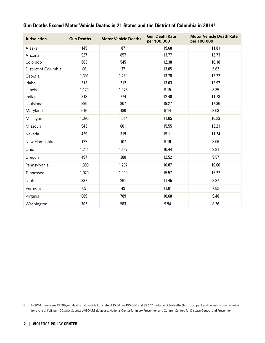| <b>Jurisdiction</b>  | <b>Gun Deaths</b> | <b>Motor Vehicle Deaths</b> | <b>Gun Death Rate</b><br>per 100,000 | <b>Motor Vehicle Death Rate</b><br>per 100,000 |
|----------------------|-------------------|-----------------------------|--------------------------------------|------------------------------------------------|
| Alaska               | 145               | 87                          | 19.68                                | 11.81                                          |
| Arizona              | 927               | 857                         | 13.77                                | 12.73                                          |
| Colorado             | 663               | 545                         | 12.38                                | 10.18                                          |
| District of Columbia | 86                | 37                          | 13.05                                | 5.62                                           |
| Georgia              | 1,391             | 1,289                       | 13.78                                | 12.77                                          |
| Idaho                | 213               | 212                         | 13.03                                | 12.97                                          |
| Illinois             | 1,179             | 1,075                       | 9.15                                 | 8.35                                           |
| Indiana              | 818               | 774                         | 12.40                                | 11.73                                          |
| Louisiana            | 896               | 807                         | 19.27                                | 17.36                                          |
| Maryland             | 546               | 480                         | 9.14                                 | 8.03                                           |
| Michigan             | 1,095             | 1,014                       | 11.05                                | 10.23                                          |
| Missouri             | 943               | 801                         | 15.55                                | 13.21                                          |
| Nevada               | 429               | 319                         | 15.11                                | 11.24                                          |
| New Hampshire        | 122               | 107                         | 9.19                                 | 8.06                                           |
| Ohio                 | 1,211             | 1,137                       | 10.44                                | 9.81                                           |
| Oregon               | 497               | 380                         | 12.52                                | 9.57                                           |
| Pennsylvania         | 1,390             | 1,287                       | 10.87                                | 10.06                                          |
| Tennessee            | 1,020             | 1,000                       | 15.57                                | 15.27                                          |
| Utah                 | 337               | 261                         | 11.45                                | 8.87                                           |
| Vermont              | 69                | 49                          | 11.01                                | 7.82                                           |
| Virginia             | 889               | 789                         | 10.68                                | 9.48                                           |
| Washington           | 702               | 583                         | 9.94                                 | 8.26                                           |

## Gun Deaths Exceed Motor Vehicle Deaths in 21 States and the District of Columbia in 2014<sup>5</sup>

5 In 2014 there were 33,599 gun deaths nationwide for a rate of 10.54 per 100,000 and 35,647 motor vehicle deaths (both occupant and pedestrian) nationwide for a rate of 11.18 per 100,000. Source: WISQARS database, National Center for Injury Prevention and Control, Centers for Disease Control and Prevention.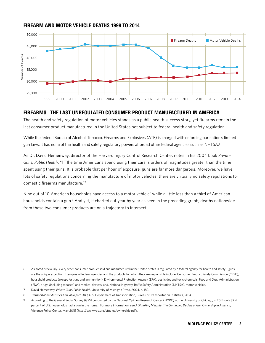### FIREARM AND MOTOR VEHICLE DEATHS 1999 TO 2014



### FIREARMS: THE LAST UNREGULATED CONSUMER PRODUCT MANUFACTURED IN AMERICA

The health and safety regulation of motor vehicles stands as a public health success story, yet firearms remain the last consumer product manufactured in the United States not subject to federal health and safety regulation.

While the federal Bureau of Alcohol, Tobacco, Firearms and Explosives (ATF) is charged with enforcing our nation's limited gun laws, it has none of the health and safety regulatory powers afforded other federal agencies such as NHTSA.<sup>6</sup>

As Dr. David Hemenway, director of the Harvard Injury Control Research Center, notes in his 2004 book *Private Guns, Public Health*: "[T]he time Americans spend using their cars is orders of magnitudes greater than the time spent using their guns. It is probable that per hour of exposure, guns are far more dangerous. Moreover, we have lots of safety regulations concerning the manufacture of motor vehicles; there are virtually no safety regulations for domestic firearms manufacture."7

Nine out of 10 American households have access to a motor vehicle<sup>8</sup> while a little less than a third of American households contain a gun.<sup>9</sup> And yet, if charted out year by year as seen in the preceding graph, deaths nationwide from these two consumer products are on a trajectory to intersect.

6 As noted previously, every other consumer product sold and manufactured in the United States is regulated by a federal agency for health and safety—guns are the unique exception. Examples of federal agencies and the products for which they are responsible include: Consumer Product Safety Commission (CPSC), household products (except for guns and ammunition); Environmental Protection Agency (EPA), pesticides and toxic chemicals; Food and Drug Administration (FDA), drugs (including tobacco) and medical devices; and, National Highway Traffic Safety Administration (NHTSA), motor vehicles.

- 7 David Hemenway, *Private Guns, Public Health*, University of Michigan Press, 2004, p. 182.
- 8 *Transportation Statistics Annual Report 2013*, U.S. Department of Transportation, Bureau of Transportation Statistics, 2014.

9 According to the General Social Survey (GSS) conducted by the National Opinion Research Center (NORC) at the University of Chicago, in 2014 only 32.4 percent of U.S. households had a gun in the home. For more information, see *A Shrinking Minority: The Continuing Decline of Gun Ownership in America*, Violence Policy Center, May 2015 (http://www.vpc.org/studies/ownership.pdf).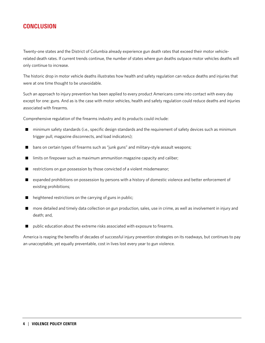# **CONCLUSION**

Twenty-one states and the District of Columbia already experience gun death rates that exceed their motor vehiclerelated death rates. If current trends continue, the number of states where gun deaths outpace motor vehicles deaths will only continue to increase.

The historic drop in motor vehicle deaths illustrates how health and safety regulation can reduce deaths and injuries that were at one time thought to be unavoidable.

Such an approach to injury prevention has been applied to every product Americans come into contact with every day except for one: guns. And as is the case with motor vehicles, health and safety regulation could reduce deaths and injuries associated with firearms.

Comprehensive regulation of the firearms industry and its products could include:

- n minimum safety standards (i.e., specific design standards and the requirement of safety devices such as minimum trigger pull, magazine disconnects, and load indicators);
- bans on certain types of firearms such as "junk guns" and military-style assault weapons;
- $\blacksquare$  limits on firepower such as maximum ammunition magazine capacity and caliber;
- $\blacksquare$  restrictions on gun possession by those convicted of a violent misdemeanor;
- n expanded prohibitions on possession by persons with a history of domestic violence and better enforcement of existing prohibitions;
- heightened restrictions on the carrying of guns in public;
- n more detailed and timely data collection on gun production, sales, use in crime, as well as involvement in injury and death; and,
- public education about the extreme risks associated with exposure to firearms.

America is reaping the benefits of decades of successful injury prevention strategies on its roadways, but continues to pay an unacceptable, yet equally preventable, cost in lives lost every year to gun violence.